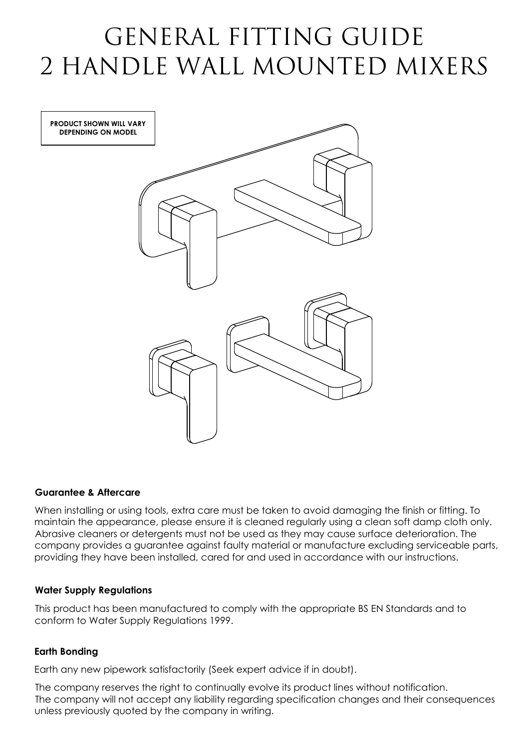# GENERAL FITTING GUIDE 2 HANDLE WALL MOUNTED MIXERS

**PRODUCT SHOWN WILL VARY DEPENDING ON MODEL**



## **Guarantee & Aftercare**

When installing or using tools, extra care must be taken to avoid damaging the finish or fitting. To maintain the appearance, please ensure it is cleaned regularly using a clean soft damp cloth only. Abrasive cleaners or detergents must not be used as they may cause surface deterioration. The company provides a guarantee against faulty material or manufacture excluding serviceable parts, providing they have been installed, cared for and used in accordance with our instructions.

### **Water Supply Regulations**

This product has been manufactured to comply with the appropriate BS EN Standards and to conform to Water Supply Regulations 1999.

## **Earth Bonding**

Earth any new pipework satisfactorily (Seek expert advice if in doubt).

The company reserves the right to continually evolve its product lines without notification. The company will not accept any liability regarding specification changes and their consequences unless previously quoted by the company in writing.